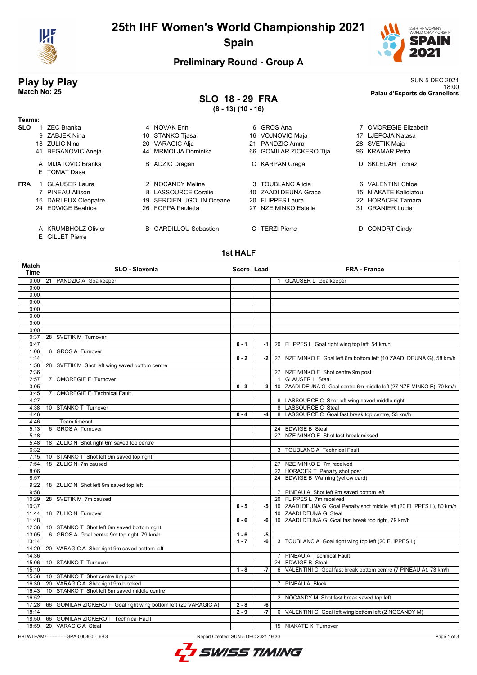

# **25th IHF Women's World Championship 2021 Spain**



## **Preliminary Round - Group A**

### **SLO 18 - 29 FRA (8 - 13) (10 - 16)**

**Play by Play**<br>Match No: 25<br>Palau d'Esports de Granollers 18:00 **Match No: 25 Palau d'Esports de Granollers**

| Teams:     |    |                                    |                              |    |                         |    |                           |
|------------|----|------------------------------------|------------------------------|----|-------------------------|----|---------------------------|
| <b>SLO</b> |    | <b>ZEC Branka</b>                  | 4 NOVAK Erin                 |    | 6 GROS Ana              |    | <b>OMOREGIE Elizabeth</b> |
|            |    | 9 ZABJEK Nina                      | 10 STANKO Tjasa              |    | 16 VOJNOVIC Maja        | 17 | LJEPOJA Natasa            |
|            |    | 18 ZULIC Nina                      | 20 VARAGIC Alja              | 21 | PANDZIC Amra            |    | 28 SVETIK Maja            |
|            | 41 | <b>BEGANOVIC Aneja</b>             | 44 MRMOLJA Dominika          |    | 66 GOMILAR ZICKERO Tija |    | 96 KRAMAR Petra           |
|            |    | A MIJATOVIC Branka<br>E TOMAT Dasa | <b>B</b> ADZIC Dragan        |    | C KARPAN Grega          |    | D SKLEDAR Tomaz           |
| <b>FRA</b> |    | <b>GLAUSER Laura</b>               | 2 NOCANDY Meline             |    | 3 TOUBLANC Alicia       |    | 6 VALENTINI Chloe         |
|            |    | PINEAU Allison                     | 8 LASSOURCE Coralie          |    | 10 ZAADI DEUNA Grace    |    | 15 NIAKATE Kalidiatou     |
|            |    | 16 DARLEUX Cleopatre               | 19 SERCIEN UGOLIN Oceane     |    | 20 FLIPPES Laura        |    | 22 HORACEK Tamara         |
|            |    | 24 EDWIGE Beatrice                 | 26 FOPPA Pauletta            | 27 | NZE MINKO Estelle       | 31 | <b>GRANIER Lucie</b>      |
|            |    | A KRUMBHOLZ Olivier                | <b>B</b> GARDILLOU Sebastien |    | C TERZI Pierre          |    | <b>CONORT Cindy</b>       |

E GILLET Pierre

#### **1st HALF**

| 0:00<br>21 PANDZIC A Goalkeeper<br>1 GLAUSER L Goalkeeper<br>0:00<br>0:00<br>0:00<br>0:00<br>0:00<br>0:00<br>0:00<br>28 SVETIK M Turnover<br>0:37<br>0:47<br>$0 - 1$<br>20 FLIPPES L Goal right wing top left, 54 km/h<br>$-1$<br>1:06<br>6 GROS A Turnover<br>1:14<br>$0 - 2$<br>27 NZE MINKO E Goal left 6m bottom left (10 ZAADI DEUNA G), 58 km/h<br>-2 l<br>1:58<br>28 SVETIK M Shot left wing saved bottom centre<br>2:36<br>27 NZE MINKO E Shot centre 9m post<br>2:57<br>7 OMOREGIE E Turnover<br>1 GLAUSER L Steal<br>3:05<br>$0 - 3$<br>10 ZAADI DEUNA G Goal centre 6m middle left (27 NZE MINKO E), 70 km/h<br>$-3$<br>OMOREGIE E Technical Fault<br>3:45<br>7<br>4:27<br>8 LASSOURCE C Shot left wing saved middle right<br>8 LASSOURCE C Steal<br>4:38<br>10 STANKO T Turnover<br>8 LASSOURCE C Goal fast break top centre, 53 km/h<br>$0 - 4$<br>4:46<br>-4<br>4:46<br>Team timeout<br>6 GROS A Turnover<br>24 EDWIGE B Steal<br>5:13<br>27 NZE MINKO E Shot fast break missed<br>5:18<br>5:48<br>18 ZULIC N Shot right 6m saved top centre<br>3 TOUBLANC A Technical Fault<br>6:32<br>10 STANKO T Shot left 9m saved top right<br>7:15<br>18 ZULIC N 7m caused<br>27 NZE MINKO E 7m received<br>7:54<br>22 HORACEK T Penalty shot post<br>8:06<br>24 EDWIGE B Warning (yellow card)<br>8:57<br>9:22<br>18 ZULIC N Shot left 9m saved top left<br>9:58<br>7 PINEAU A Shot left 9m saved bottom left<br>10:29<br>28 SVETIK M 7m caused<br>20 FLIPPES L 7m received<br>10:37<br>$0 - 5$<br>10 ZAADI DEUNA G Goal Penalty shot middle left (20 FLIPPES L), 80 km/h<br>-5  <br>11:44<br>18 ZULIC N Turnover<br>10 ZAADI DEUNA G Steal<br>10 ZAADI DEUNA G Goal fast break top right, 79 km/h<br>11:48<br>$0 - 6$<br>-6<br>10 STANKO T Shot left 6m saved bottom right<br>12:36<br>13:05<br>6 GROS A Goal centre 9m top right, 79 km/h<br>-5<br>$1 - 6$<br>$1 - 7$<br>$-6$<br>3 TOUBLANC A Goal right wing top left (20 FLIPPES L)<br>13:14<br>14:29<br>20 VARAGIC A Shot right 9m saved bottom left<br>14:36<br>7 PINEAU A Technical Fault<br>24 EDWIGE B Steal<br>15:06<br>10 STANKO T Turnover<br>6 VALENTINI C Goal fast break bottom centre (7 PINEAU A), 73 km/h<br>15:10<br>$1 - 8$<br>-7<br>15:56<br>10 STANKO T Shot centre 9m post<br>20 VARAGIC A Shot right 9m blocked<br>7 PINEAU A Block<br>16:30<br>10 STANKO T Shot left 6m saved middle centre<br>16:43<br>16:52<br>2 NOCANDY M Shot fast break saved top left<br>17:28<br>GOMILAR ZICKERO T Goal right wing bottom left (20 VARAGIC A)<br>66<br>$2 - 8$<br>-6<br>$2 - 9$<br>18:14<br>$-7$<br>6 VALENTINI C Goal left wing bottom left (2 NOCANDY M)<br>66 GOMILAR ZICKERO T Technical Fault<br>18:50<br>20 VARAGIC A Steal<br>15 NIAKATE K Turnover<br>18:59 | Match<br>Time | SLO - Slovenia | Score Lead | <b>FRA - France</b> |
|------------------------------------------------------------------------------------------------------------------------------------------------------------------------------------------------------------------------------------------------------------------------------------------------------------------------------------------------------------------------------------------------------------------------------------------------------------------------------------------------------------------------------------------------------------------------------------------------------------------------------------------------------------------------------------------------------------------------------------------------------------------------------------------------------------------------------------------------------------------------------------------------------------------------------------------------------------------------------------------------------------------------------------------------------------------------------------------------------------------------------------------------------------------------------------------------------------------------------------------------------------------------------------------------------------------------------------------------------------------------------------------------------------------------------------------------------------------------------------------------------------------------------------------------------------------------------------------------------------------------------------------------------------------------------------------------------------------------------------------------------------------------------------------------------------------------------------------------------------------------------------------------------------------------------------------------------------------------------------------------------------------------------------------------------------------------------------------------------------------------------------------------------------------------------------------------------------------------------------------------------------------------------------------------------------------------------------------------------------------------------------------------------------------------------------------------------------------------------------------------------------------------------------------------------------------------------------------------------------------------------------------------------------------------------------------------------------------------------------------|---------------|----------------|------------|---------------------|
|                                                                                                                                                                                                                                                                                                                                                                                                                                                                                                                                                                                                                                                                                                                                                                                                                                                                                                                                                                                                                                                                                                                                                                                                                                                                                                                                                                                                                                                                                                                                                                                                                                                                                                                                                                                                                                                                                                                                                                                                                                                                                                                                                                                                                                                                                                                                                                                                                                                                                                                                                                                                                                                                                                                                          |               |                |            |                     |
|                                                                                                                                                                                                                                                                                                                                                                                                                                                                                                                                                                                                                                                                                                                                                                                                                                                                                                                                                                                                                                                                                                                                                                                                                                                                                                                                                                                                                                                                                                                                                                                                                                                                                                                                                                                                                                                                                                                                                                                                                                                                                                                                                                                                                                                                                                                                                                                                                                                                                                                                                                                                                                                                                                                                          |               |                |            |                     |
|                                                                                                                                                                                                                                                                                                                                                                                                                                                                                                                                                                                                                                                                                                                                                                                                                                                                                                                                                                                                                                                                                                                                                                                                                                                                                                                                                                                                                                                                                                                                                                                                                                                                                                                                                                                                                                                                                                                                                                                                                                                                                                                                                                                                                                                                                                                                                                                                                                                                                                                                                                                                                                                                                                                                          |               |                |            |                     |
|                                                                                                                                                                                                                                                                                                                                                                                                                                                                                                                                                                                                                                                                                                                                                                                                                                                                                                                                                                                                                                                                                                                                                                                                                                                                                                                                                                                                                                                                                                                                                                                                                                                                                                                                                                                                                                                                                                                                                                                                                                                                                                                                                                                                                                                                                                                                                                                                                                                                                                                                                                                                                                                                                                                                          |               |                |            |                     |
|                                                                                                                                                                                                                                                                                                                                                                                                                                                                                                                                                                                                                                                                                                                                                                                                                                                                                                                                                                                                                                                                                                                                                                                                                                                                                                                                                                                                                                                                                                                                                                                                                                                                                                                                                                                                                                                                                                                                                                                                                                                                                                                                                                                                                                                                                                                                                                                                                                                                                                                                                                                                                                                                                                                                          |               |                |            |                     |
|                                                                                                                                                                                                                                                                                                                                                                                                                                                                                                                                                                                                                                                                                                                                                                                                                                                                                                                                                                                                                                                                                                                                                                                                                                                                                                                                                                                                                                                                                                                                                                                                                                                                                                                                                                                                                                                                                                                                                                                                                                                                                                                                                                                                                                                                                                                                                                                                                                                                                                                                                                                                                                                                                                                                          |               |                |            |                     |
|                                                                                                                                                                                                                                                                                                                                                                                                                                                                                                                                                                                                                                                                                                                                                                                                                                                                                                                                                                                                                                                                                                                                                                                                                                                                                                                                                                                                                                                                                                                                                                                                                                                                                                                                                                                                                                                                                                                                                                                                                                                                                                                                                                                                                                                                                                                                                                                                                                                                                                                                                                                                                                                                                                                                          |               |                |            |                     |
|                                                                                                                                                                                                                                                                                                                                                                                                                                                                                                                                                                                                                                                                                                                                                                                                                                                                                                                                                                                                                                                                                                                                                                                                                                                                                                                                                                                                                                                                                                                                                                                                                                                                                                                                                                                                                                                                                                                                                                                                                                                                                                                                                                                                                                                                                                                                                                                                                                                                                                                                                                                                                                                                                                                                          |               |                |            |                     |
|                                                                                                                                                                                                                                                                                                                                                                                                                                                                                                                                                                                                                                                                                                                                                                                                                                                                                                                                                                                                                                                                                                                                                                                                                                                                                                                                                                                                                                                                                                                                                                                                                                                                                                                                                                                                                                                                                                                                                                                                                                                                                                                                                                                                                                                                                                                                                                                                                                                                                                                                                                                                                                                                                                                                          |               |                |            |                     |
|                                                                                                                                                                                                                                                                                                                                                                                                                                                                                                                                                                                                                                                                                                                                                                                                                                                                                                                                                                                                                                                                                                                                                                                                                                                                                                                                                                                                                                                                                                                                                                                                                                                                                                                                                                                                                                                                                                                                                                                                                                                                                                                                                                                                                                                                                                                                                                                                                                                                                                                                                                                                                                                                                                                                          |               |                |            |                     |
|                                                                                                                                                                                                                                                                                                                                                                                                                                                                                                                                                                                                                                                                                                                                                                                                                                                                                                                                                                                                                                                                                                                                                                                                                                                                                                                                                                                                                                                                                                                                                                                                                                                                                                                                                                                                                                                                                                                                                                                                                                                                                                                                                                                                                                                                                                                                                                                                                                                                                                                                                                                                                                                                                                                                          |               |                |            |                     |
|                                                                                                                                                                                                                                                                                                                                                                                                                                                                                                                                                                                                                                                                                                                                                                                                                                                                                                                                                                                                                                                                                                                                                                                                                                                                                                                                                                                                                                                                                                                                                                                                                                                                                                                                                                                                                                                                                                                                                                                                                                                                                                                                                                                                                                                                                                                                                                                                                                                                                                                                                                                                                                                                                                                                          |               |                |            |                     |
|                                                                                                                                                                                                                                                                                                                                                                                                                                                                                                                                                                                                                                                                                                                                                                                                                                                                                                                                                                                                                                                                                                                                                                                                                                                                                                                                                                                                                                                                                                                                                                                                                                                                                                                                                                                                                                                                                                                                                                                                                                                                                                                                                                                                                                                                                                                                                                                                                                                                                                                                                                                                                                                                                                                                          |               |                |            |                     |
|                                                                                                                                                                                                                                                                                                                                                                                                                                                                                                                                                                                                                                                                                                                                                                                                                                                                                                                                                                                                                                                                                                                                                                                                                                                                                                                                                                                                                                                                                                                                                                                                                                                                                                                                                                                                                                                                                                                                                                                                                                                                                                                                                                                                                                                                                                                                                                                                                                                                                                                                                                                                                                                                                                                                          |               |                |            |                     |
|                                                                                                                                                                                                                                                                                                                                                                                                                                                                                                                                                                                                                                                                                                                                                                                                                                                                                                                                                                                                                                                                                                                                                                                                                                                                                                                                                                                                                                                                                                                                                                                                                                                                                                                                                                                                                                                                                                                                                                                                                                                                                                                                                                                                                                                                                                                                                                                                                                                                                                                                                                                                                                                                                                                                          |               |                |            |                     |
|                                                                                                                                                                                                                                                                                                                                                                                                                                                                                                                                                                                                                                                                                                                                                                                                                                                                                                                                                                                                                                                                                                                                                                                                                                                                                                                                                                                                                                                                                                                                                                                                                                                                                                                                                                                                                                                                                                                                                                                                                                                                                                                                                                                                                                                                                                                                                                                                                                                                                                                                                                                                                                                                                                                                          |               |                |            |                     |
|                                                                                                                                                                                                                                                                                                                                                                                                                                                                                                                                                                                                                                                                                                                                                                                                                                                                                                                                                                                                                                                                                                                                                                                                                                                                                                                                                                                                                                                                                                                                                                                                                                                                                                                                                                                                                                                                                                                                                                                                                                                                                                                                                                                                                                                                                                                                                                                                                                                                                                                                                                                                                                                                                                                                          |               |                |            |                     |
|                                                                                                                                                                                                                                                                                                                                                                                                                                                                                                                                                                                                                                                                                                                                                                                                                                                                                                                                                                                                                                                                                                                                                                                                                                                                                                                                                                                                                                                                                                                                                                                                                                                                                                                                                                                                                                                                                                                                                                                                                                                                                                                                                                                                                                                                                                                                                                                                                                                                                                                                                                                                                                                                                                                                          |               |                |            |                     |
|                                                                                                                                                                                                                                                                                                                                                                                                                                                                                                                                                                                                                                                                                                                                                                                                                                                                                                                                                                                                                                                                                                                                                                                                                                                                                                                                                                                                                                                                                                                                                                                                                                                                                                                                                                                                                                                                                                                                                                                                                                                                                                                                                                                                                                                                                                                                                                                                                                                                                                                                                                                                                                                                                                                                          |               |                |            |                     |
|                                                                                                                                                                                                                                                                                                                                                                                                                                                                                                                                                                                                                                                                                                                                                                                                                                                                                                                                                                                                                                                                                                                                                                                                                                                                                                                                                                                                                                                                                                                                                                                                                                                                                                                                                                                                                                                                                                                                                                                                                                                                                                                                                                                                                                                                                                                                                                                                                                                                                                                                                                                                                                                                                                                                          |               |                |            |                     |
|                                                                                                                                                                                                                                                                                                                                                                                                                                                                                                                                                                                                                                                                                                                                                                                                                                                                                                                                                                                                                                                                                                                                                                                                                                                                                                                                                                                                                                                                                                                                                                                                                                                                                                                                                                                                                                                                                                                                                                                                                                                                                                                                                                                                                                                                                                                                                                                                                                                                                                                                                                                                                                                                                                                                          |               |                |            |                     |
|                                                                                                                                                                                                                                                                                                                                                                                                                                                                                                                                                                                                                                                                                                                                                                                                                                                                                                                                                                                                                                                                                                                                                                                                                                                                                                                                                                                                                                                                                                                                                                                                                                                                                                                                                                                                                                                                                                                                                                                                                                                                                                                                                                                                                                                                                                                                                                                                                                                                                                                                                                                                                                                                                                                                          |               |                |            |                     |
|                                                                                                                                                                                                                                                                                                                                                                                                                                                                                                                                                                                                                                                                                                                                                                                                                                                                                                                                                                                                                                                                                                                                                                                                                                                                                                                                                                                                                                                                                                                                                                                                                                                                                                                                                                                                                                                                                                                                                                                                                                                                                                                                                                                                                                                                                                                                                                                                                                                                                                                                                                                                                                                                                                                                          |               |                |            |                     |
|                                                                                                                                                                                                                                                                                                                                                                                                                                                                                                                                                                                                                                                                                                                                                                                                                                                                                                                                                                                                                                                                                                                                                                                                                                                                                                                                                                                                                                                                                                                                                                                                                                                                                                                                                                                                                                                                                                                                                                                                                                                                                                                                                                                                                                                                                                                                                                                                                                                                                                                                                                                                                                                                                                                                          |               |                |            |                     |
|                                                                                                                                                                                                                                                                                                                                                                                                                                                                                                                                                                                                                                                                                                                                                                                                                                                                                                                                                                                                                                                                                                                                                                                                                                                                                                                                                                                                                                                                                                                                                                                                                                                                                                                                                                                                                                                                                                                                                                                                                                                                                                                                                                                                                                                                                                                                                                                                                                                                                                                                                                                                                                                                                                                                          |               |                |            |                     |
|                                                                                                                                                                                                                                                                                                                                                                                                                                                                                                                                                                                                                                                                                                                                                                                                                                                                                                                                                                                                                                                                                                                                                                                                                                                                                                                                                                                                                                                                                                                                                                                                                                                                                                                                                                                                                                                                                                                                                                                                                                                                                                                                                                                                                                                                                                                                                                                                                                                                                                                                                                                                                                                                                                                                          |               |                |            |                     |
|                                                                                                                                                                                                                                                                                                                                                                                                                                                                                                                                                                                                                                                                                                                                                                                                                                                                                                                                                                                                                                                                                                                                                                                                                                                                                                                                                                                                                                                                                                                                                                                                                                                                                                                                                                                                                                                                                                                                                                                                                                                                                                                                                                                                                                                                                                                                                                                                                                                                                                                                                                                                                                                                                                                                          |               |                |            |                     |
|                                                                                                                                                                                                                                                                                                                                                                                                                                                                                                                                                                                                                                                                                                                                                                                                                                                                                                                                                                                                                                                                                                                                                                                                                                                                                                                                                                                                                                                                                                                                                                                                                                                                                                                                                                                                                                                                                                                                                                                                                                                                                                                                                                                                                                                                                                                                                                                                                                                                                                                                                                                                                                                                                                                                          |               |                |            |                     |
|                                                                                                                                                                                                                                                                                                                                                                                                                                                                                                                                                                                                                                                                                                                                                                                                                                                                                                                                                                                                                                                                                                                                                                                                                                                                                                                                                                                                                                                                                                                                                                                                                                                                                                                                                                                                                                                                                                                                                                                                                                                                                                                                                                                                                                                                                                                                                                                                                                                                                                                                                                                                                                                                                                                                          |               |                |            |                     |
|                                                                                                                                                                                                                                                                                                                                                                                                                                                                                                                                                                                                                                                                                                                                                                                                                                                                                                                                                                                                                                                                                                                                                                                                                                                                                                                                                                                                                                                                                                                                                                                                                                                                                                                                                                                                                                                                                                                                                                                                                                                                                                                                                                                                                                                                                                                                                                                                                                                                                                                                                                                                                                                                                                                                          |               |                |            |                     |
|                                                                                                                                                                                                                                                                                                                                                                                                                                                                                                                                                                                                                                                                                                                                                                                                                                                                                                                                                                                                                                                                                                                                                                                                                                                                                                                                                                                                                                                                                                                                                                                                                                                                                                                                                                                                                                                                                                                                                                                                                                                                                                                                                                                                                                                                                                                                                                                                                                                                                                                                                                                                                                                                                                                                          |               |                |            |                     |
|                                                                                                                                                                                                                                                                                                                                                                                                                                                                                                                                                                                                                                                                                                                                                                                                                                                                                                                                                                                                                                                                                                                                                                                                                                                                                                                                                                                                                                                                                                                                                                                                                                                                                                                                                                                                                                                                                                                                                                                                                                                                                                                                                                                                                                                                                                                                                                                                                                                                                                                                                                                                                                                                                                                                          |               |                |            |                     |
|                                                                                                                                                                                                                                                                                                                                                                                                                                                                                                                                                                                                                                                                                                                                                                                                                                                                                                                                                                                                                                                                                                                                                                                                                                                                                                                                                                                                                                                                                                                                                                                                                                                                                                                                                                                                                                                                                                                                                                                                                                                                                                                                                                                                                                                                                                                                                                                                                                                                                                                                                                                                                                                                                                                                          |               |                |            |                     |
|                                                                                                                                                                                                                                                                                                                                                                                                                                                                                                                                                                                                                                                                                                                                                                                                                                                                                                                                                                                                                                                                                                                                                                                                                                                                                                                                                                                                                                                                                                                                                                                                                                                                                                                                                                                                                                                                                                                                                                                                                                                                                                                                                                                                                                                                                                                                                                                                                                                                                                                                                                                                                                                                                                                                          |               |                |            |                     |
|                                                                                                                                                                                                                                                                                                                                                                                                                                                                                                                                                                                                                                                                                                                                                                                                                                                                                                                                                                                                                                                                                                                                                                                                                                                                                                                                                                                                                                                                                                                                                                                                                                                                                                                                                                                                                                                                                                                                                                                                                                                                                                                                                                                                                                                                                                                                                                                                                                                                                                                                                                                                                                                                                                                                          |               |                |            |                     |
|                                                                                                                                                                                                                                                                                                                                                                                                                                                                                                                                                                                                                                                                                                                                                                                                                                                                                                                                                                                                                                                                                                                                                                                                                                                                                                                                                                                                                                                                                                                                                                                                                                                                                                                                                                                                                                                                                                                                                                                                                                                                                                                                                                                                                                                                                                                                                                                                                                                                                                                                                                                                                                                                                                                                          |               |                |            |                     |
|                                                                                                                                                                                                                                                                                                                                                                                                                                                                                                                                                                                                                                                                                                                                                                                                                                                                                                                                                                                                                                                                                                                                                                                                                                                                                                                                                                                                                                                                                                                                                                                                                                                                                                                                                                                                                                                                                                                                                                                                                                                                                                                                                                                                                                                                                                                                                                                                                                                                                                                                                                                                                                                                                                                                          |               |                |            |                     |
|                                                                                                                                                                                                                                                                                                                                                                                                                                                                                                                                                                                                                                                                                                                                                                                                                                                                                                                                                                                                                                                                                                                                                                                                                                                                                                                                                                                                                                                                                                                                                                                                                                                                                                                                                                                                                                                                                                                                                                                                                                                                                                                                                                                                                                                                                                                                                                                                                                                                                                                                                                                                                                                                                                                                          |               |                |            |                     |
|                                                                                                                                                                                                                                                                                                                                                                                                                                                                                                                                                                                                                                                                                                                                                                                                                                                                                                                                                                                                                                                                                                                                                                                                                                                                                                                                                                                                                                                                                                                                                                                                                                                                                                                                                                                                                                                                                                                                                                                                                                                                                                                                                                                                                                                                                                                                                                                                                                                                                                                                                                                                                                                                                                                                          |               |                |            |                     |
|                                                                                                                                                                                                                                                                                                                                                                                                                                                                                                                                                                                                                                                                                                                                                                                                                                                                                                                                                                                                                                                                                                                                                                                                                                                                                                                                                                                                                                                                                                                                                                                                                                                                                                                                                                                                                                                                                                                                                                                                                                                                                                                                                                                                                                                                                                                                                                                                                                                                                                                                                                                                                                                                                                                                          |               |                |            |                     |
|                                                                                                                                                                                                                                                                                                                                                                                                                                                                                                                                                                                                                                                                                                                                                                                                                                                                                                                                                                                                                                                                                                                                                                                                                                                                                                                                                                                                                                                                                                                                                                                                                                                                                                                                                                                                                                                                                                                                                                                                                                                                                                                                                                                                                                                                                                                                                                                                                                                                                                                                                                                                                                                                                                                                          |               |                |            |                     |
|                                                                                                                                                                                                                                                                                                                                                                                                                                                                                                                                                                                                                                                                                                                                                                                                                                                                                                                                                                                                                                                                                                                                                                                                                                                                                                                                                                                                                                                                                                                                                                                                                                                                                                                                                                                                                                                                                                                                                                                                                                                                                                                                                                                                                                                                                                                                                                                                                                                                                                                                                                                                                                                                                                                                          |               |                |            |                     |
|                                                                                                                                                                                                                                                                                                                                                                                                                                                                                                                                                                                                                                                                                                                                                                                                                                                                                                                                                                                                                                                                                                                                                                                                                                                                                                                                                                                                                                                                                                                                                                                                                                                                                                                                                                                                                                                                                                                                                                                                                                                                                                                                                                                                                                                                                                                                                                                                                                                                                                                                                                                                                                                                                                                                          |               |                |            |                     |
|                                                                                                                                                                                                                                                                                                                                                                                                                                                                                                                                                                                                                                                                                                                                                                                                                                                                                                                                                                                                                                                                                                                                                                                                                                                                                                                                                                                                                                                                                                                                                                                                                                                                                                                                                                                                                                                                                                                                                                                                                                                                                                                                                                                                                                                                                                                                                                                                                                                                                                                                                                                                                                                                                                                                          |               |                |            |                     |
|                                                                                                                                                                                                                                                                                                                                                                                                                                                                                                                                                                                                                                                                                                                                                                                                                                                                                                                                                                                                                                                                                                                                                                                                                                                                                                                                                                                                                                                                                                                                                                                                                                                                                                                                                                                                                                                                                                                                                                                                                                                                                                                                                                                                                                                                                                                                                                                                                                                                                                                                                                                                                                                                                                                                          |               |                |            |                     |
|                                                                                                                                                                                                                                                                                                                                                                                                                                                                                                                                                                                                                                                                                                                                                                                                                                                                                                                                                                                                                                                                                                                                                                                                                                                                                                                                                                                                                                                                                                                                                                                                                                                                                                                                                                                                                                                                                                                                                                                                                                                                                                                                                                                                                                                                                                                                                                                                                                                                                                                                                                                                                                                                                                                                          |               |                |            |                     |
|                                                                                                                                                                                                                                                                                                                                                                                                                                                                                                                                                                                                                                                                                                                                                                                                                                                                                                                                                                                                                                                                                                                                                                                                                                                                                                                                                                                                                                                                                                                                                                                                                                                                                                                                                                                                                                                                                                                                                                                                                                                                                                                                                                                                                                                                                                                                                                                                                                                                                                                                                                                                                                                                                                                                          |               |                |            |                     |
|                                                                                                                                                                                                                                                                                                                                                                                                                                                                                                                                                                                                                                                                                                                                                                                                                                                                                                                                                                                                                                                                                                                                                                                                                                                                                                                                                                                                                                                                                                                                                                                                                                                                                                                                                                                                                                                                                                                                                                                                                                                                                                                                                                                                                                                                                                                                                                                                                                                                                                                                                                                                                                                                                                                                          |               |                |            |                     |

HBLWTEAM7--------------GPA-000300--\_69 3 Report Created SUN 5 DEC 2021 19:30

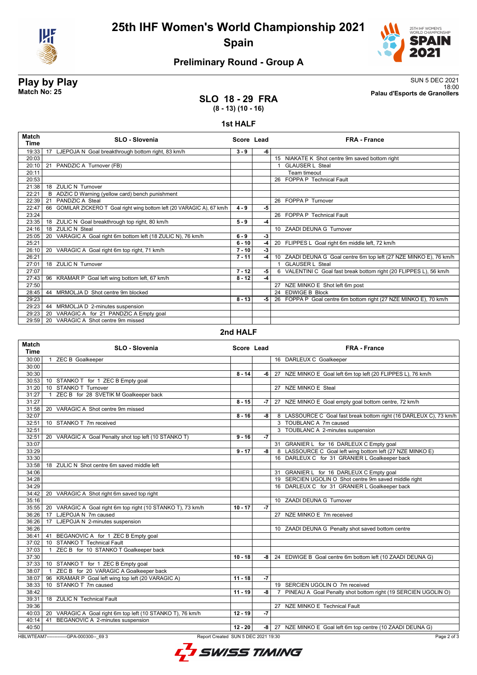

# **25th IHF Women's World Championship 2021 Spain**



## **Preliminary Round - Group A**

**Play by Play**<br>Match No: 25<br>Palau d'Esports de Granollers 18:00 **Match No: 25 Palau d'Esports de Granollers**

### **SLO 18 - 29 FRA (8 - 13) (10 - 16)**

#### **1st HALF**

| Match<br>Time | <b>SLO - Slovenia</b>                                                    | Score Lead |      | <b>FRA - France</b>                                                |
|---------------|--------------------------------------------------------------------------|------------|------|--------------------------------------------------------------------|
| 19:33         | 17 LJEPOJA N Goal breakthrough bottom right, 83 km/h                     | $3 - 9$    | -6   |                                                                    |
| 20:03         |                                                                          |            |      | 15 NIAKATE K Shot centre 9m saved bottom right                     |
| 20:10         | 21 PANDZIC A Turnover (FB)                                               |            |      | <b>GLAUSER L Steal</b>                                             |
| 20:11         |                                                                          |            |      | Team timeout                                                       |
| 20:53         |                                                                          |            |      | 26 FOPPA P Technical Fault                                         |
| 21:38         | 18 ZULIC N Turnover                                                      |            |      |                                                                    |
| 22:21         | B ADZIC D Warning (yellow card) bench punishment                         |            |      |                                                                    |
| 22:39         | PANDZIC A Steal<br>21                                                    |            |      | 26 FOPPA P Turnover                                                |
| 22:47         | 66 GOMILAR ZICKERO T Goal right wing bottom left (20 VARAGIC A), 67 km/h | $4 - 9$    | -5   |                                                                    |
| 23:24         |                                                                          |            |      | 26 FOPPA P Technical Fault                                         |
| 23:35         | 18 ZULIC N Goal breakthrough top right, 80 km/h                          | $5 - 9$    | $-4$ |                                                                    |
| 24:16         | <b>ZULIC N Steal</b><br>18                                               |            |      | 10 ZAADI DEUNA G Turnover                                          |
| 25:05         | 20 VARAGIC A Goal right 6m bottom left (18 ZULIC N), 76 km/h             | $6 - 9$    | $-3$ |                                                                    |
| 25:21         |                                                                          | $6 - 10$   | -4   | 20 FLIPPES L Goal right 6m middle left, 72 km/h                    |
| 26:10         | 20 VARAGIC A Goal right 6m top right, 71 km/h                            | $7 - 10$   | $-3$ |                                                                    |
| 26:21         |                                                                          | $7 - 11$   | $-4$ | 10 ZAADI DEUNA G Goal centre 6m top left (27 NZE MINKO E), 76 km/h |
| 27:01         | 18 ZULIC N Turnover                                                      |            |      | <b>GLAUSER L Steal</b>                                             |
| 27:07         |                                                                          | $7 - 12$   | -5   | 6 VALENTINI C Goal fast break bottom right (20 FLIPPES L), 56 km/h |
| 27:43         | 96 KRAMAR P Goal left wing bottom left, 67 km/h                          | $8 - 12$   | -4   |                                                                    |
| 27:50         |                                                                          |            |      | 27 NZE MINKO E Shot left 6m post                                   |
| 28:45         | 44 MRMOLJA D Shot centre 9m blocked                                      |            |      | 24 EDWIGE B Block                                                  |
| 29:23         |                                                                          | $8 - 13$   | -5   | 26 FOPPA P Goal centre 6m bottom right (27 NZE MINKO E), 70 km/h   |
| 29:23         | 44 MRMOLJA D 2-minutes suspension                                        |            |      |                                                                    |
| 29:23         | VARAGIC A for 21 PANDZIC A Empty goal<br>20                              |            |      |                                                                    |
| 29:59         | VARAGIC A Shot centre 9m missed<br>20                                    |            |      |                                                                    |
|               |                                                                          | - ------   |      |                                                                    |

### **2nd HALF**

| Match<br><b>Time</b> | <b>SLO - Slovenia</b>                                       | Score Lead |      | <b>FRA - France</b>                                                             |
|----------------------|-------------------------------------------------------------|------------|------|---------------------------------------------------------------------------------|
| 30:00                | <b>ZEC B Goalkeeper</b><br>$\overline{1}$                   |            |      | 16 DARLEUX C Goalkeeper                                                         |
| 30:00                |                                                             |            |      |                                                                                 |
| 30:30                |                                                             | $8 - 14$   | -6   | 27 NZE MINKO E Goal left 6m top left (20 FLIPPES L), 76 km/h                    |
| 30:53                | 10 STANKO T for 1 ZEC B Empty goal                          |            |      |                                                                                 |
| 31:20                | 10 STANKO T Turnover                                        |            |      | 27 NZE MINKO E Steal                                                            |
| 31:27                | ZEC B for 28 SVETIK M Goalkeeper back<br>$\mathbf{1}$       |            |      |                                                                                 |
| 31:27                |                                                             | $8 - 15$   | -7   | 27 NZE MINKO E Goal empty goal bottom centre, 72 km/h                           |
| 31:58                | 20 VARAGIC A Shot centre 9m missed                          |            |      |                                                                                 |
| 32:07                |                                                             | $8 - 16$   | -8   | 8 LASSOURCE C Goal fast break bottom right (16 DARLEUX C), 73 km/h              |
| 32:51                | 10 STANKO T 7m received                                     |            |      | 3 TOUBLANC A 7m caused                                                          |
| 32:51                |                                                             |            |      | 3 TOUBLANC A 2-minutes suspension                                               |
| 32:51                | 20 VARAGIC A Goal Penalty shot top left (10 STANKO T)       | $9 - 16$   | $-7$ |                                                                                 |
| 33:07                |                                                             |            |      | 31 GRANIER L for 16 DARLEUX C Empty goal                                        |
| 33:29                |                                                             | $9 - 17$   | -8   | 8 LASSOURCE C Goal left wing bottom left (27 NZE MINKO E)                       |
| 33:30                |                                                             |            |      | 16 DARLEUX C for 31 GRANIER L Goalkeeper back                                   |
| 33:58                | 18 ZULIC N Shot centre 6m saved middle left                 |            |      |                                                                                 |
| 34:06                |                                                             |            |      | 31 GRANIER L for 16 DARLEUX C Empty goal                                        |
| 34:28                |                                                             |            |      | 19 SERCIEN UGOLIN O Shot centre 9m saved middle right                           |
| 34:29                |                                                             |            |      | 16 DARLEUX C for 31 GRANIER L Goalkeeper back                                   |
| 34:42                | 20 VARAGIC A Shot right 6m saved top right                  |            |      |                                                                                 |
| 35:16                |                                                             |            |      | 10 ZAADI DEUNA G Turnover                                                       |
| 35:55                | 20 VARAGIC A Goal right 6m top right (10 STANKO T), 73 km/h | $10 - 17$  | $-7$ |                                                                                 |
| 36:26                | 17 LJEPOJA N 7m caused                                      |            |      | 27 NZE MINKO E 7m received                                                      |
| 36:26                | 17 LJEPOJA N 2-minutes suspension                           |            |      |                                                                                 |
| 36:26                |                                                             |            |      | 10 ZAADI DEUNA G Penalty shot saved bottom centre                               |
| 36:41                | BEGANOVIC A for 1 ZEC B Empty goal<br>41                    |            |      |                                                                                 |
| 37:02                | 10 STANKO T Technical Fault                                 |            |      |                                                                                 |
| 37:03                | ZEC B for 10 STANKO T Goalkeeper back<br>$\overline{1}$     |            |      |                                                                                 |
| 37:30                |                                                             | $10 - 18$  | -8   | 24 EDWIGE B Goal centre 6m bottom left (10 ZAADI DEUNA G)                       |
| 37:33                | 10 STANKO T for 1 ZEC B Empty goal                          |            |      |                                                                                 |
| 38:07                | ZEC B for 20 VARAGIC A Goalkeeper back<br>$\overline{1}$    |            |      |                                                                                 |
| 38:07                | 96 KRAMAR P Goal left wing top left (20 VARAGIC A)          | $11 - 18$  | $-7$ |                                                                                 |
| 38:33                | 10 STANKO T 7m caused                                       |            |      | 19 SERCIEN UGOLIN O 7m received                                                 |
| 38:42                |                                                             | $11 - 19$  | -8   | PINEAU A Goal Penalty shot bottom right (19 SERCIEN UGOLIN O)<br>$\overline{7}$ |
| 39:31                | 18 ZULIC N Technical Fault                                  |            |      |                                                                                 |
| 39:36                |                                                             |            |      | 27 NZE MINKO E Technical Fault                                                  |
| 40:03                | 20 VARAGIC A Goal right 6m top left (10 STANKO T), 76 km/h  | $12 - 19$  | $-7$ |                                                                                 |
| 40:14                | BEGANOVIC A 2-minutes suspension<br>41                      |            |      |                                                                                 |
| 40:50                |                                                             | $12 - 20$  | -8 l | 27 NZE MINKO E Goal left 6m top centre (10 ZAADI DEUNA G)                       |

HBLWTEAM7-------------GPA-000300--\_69 3 Report Created SUN 5 DEC 2021 19:30